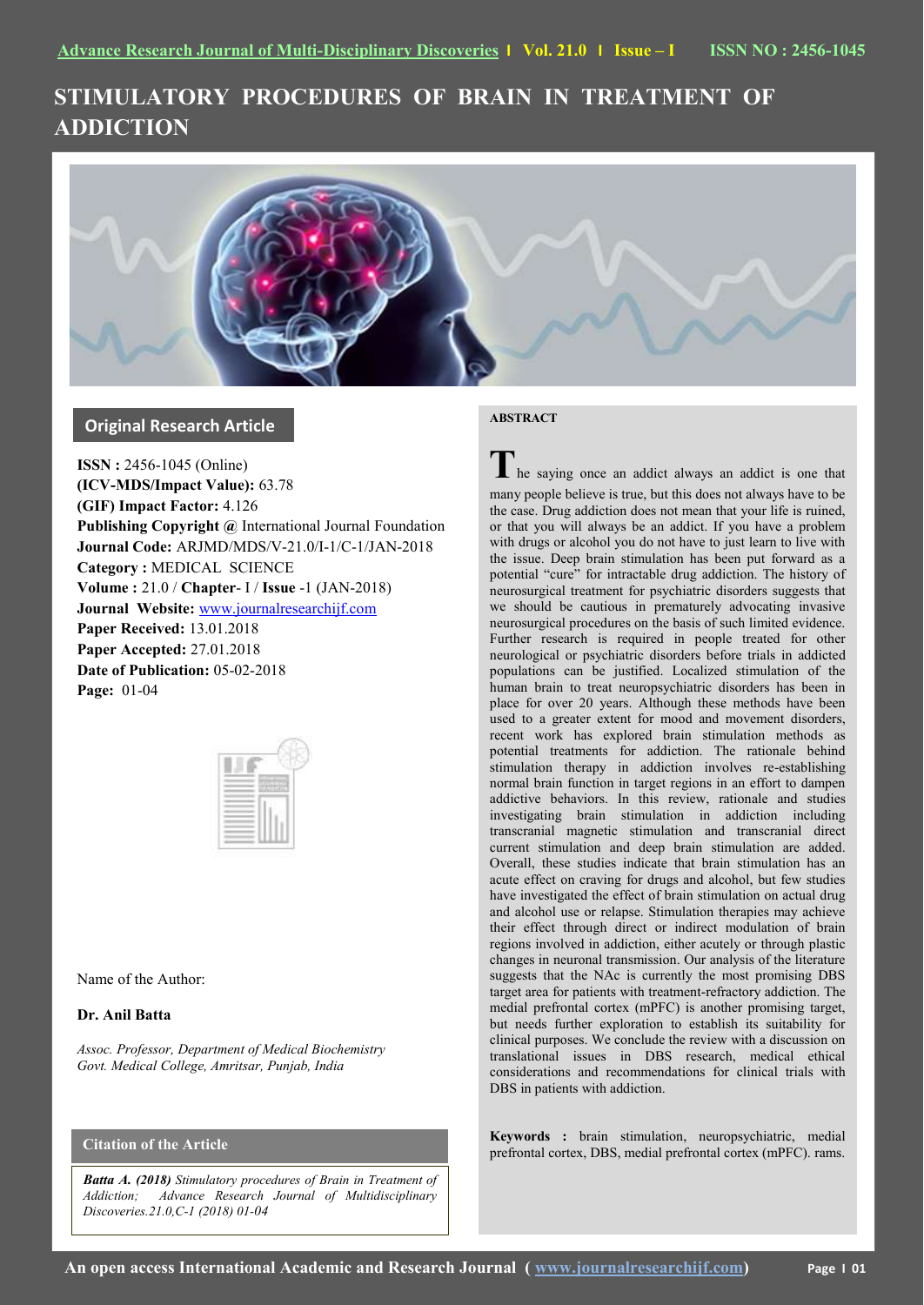# **STIMULATORY PROCEDURES OF BRAIN IN TREATMENT OF ADDICTION**



# **Original Research Article**

**ISSN :** 2456-1045 (Online) **(ICV-MDS/Impact Value):** 63.78 **(GIF) Impact Factor:** 4.126 **Publishing Copyright @** International Journal Foundation **Journal Code:** ARJMD/MDS/V-21.0/I-1/C-1/JAN-2018 **Category :** MEDICAL SCIENCE **Volume :** 21.0 / **Chapter**- I / **Issue** -1 (JAN-2018) **Journal Website:** [www.journalresearchijf.com](http://www.journalresearchijf.com/) **Paper Received:** 13.01.2018 **Paper Accepted:** 27.01.2018 **Date of Publication:** 05-02-2018 **Page:** 01-04

Name of the Author:

## **Dr. Anil Batta**

*Assoc. Professor, Department of Medical Biochemistry Govt. Medical College, Amritsar, Punjab, India*

# **Citation of the Article**

*Batta A. (2018) Stimulatory procedures of Brain in Treatment of Addiction; Advance Research Journal of Multidisciplinary Discoveries.21.0,C-1 (2018) 01-04*

## **ABSTRACT**

**T**he saying once an addict always an addict is one that many people believe is true, but this does not always have to be the case. Drug addiction does not mean that your life is ruined, or that you will always be an addict. If you have a problem with drugs or alcohol you do not have to just learn to live with the issue. Deep brain stimulation has been put forward as a potential "cure" for intractable drug addiction. The history of neurosurgical treatment for psychiatric disorders suggests that we should be cautious in prematurely advocating invasive neurosurgical procedures on the basis of such limited evidence. Further research is required in people treated for other neurological or psychiatric disorders before trials in addicted populations can be justified. Localized stimulation of the human brain to treat neuropsychiatric disorders has been in place for over 20 years. Although these methods have been used to a greater extent for mood and movement disorders, recent work has explored brain stimulation methods as potential treatments for addiction. The rationale behind stimulation therapy in addiction involves re-establishing normal brain function in target regions in an effort to dampen addictive behaviors. In this review, rationale and studies investigating brain stimulation in addiction including transcranial magnetic stimulation and transcranial direct current stimulation and deep brain stimulation are added. Overall, these studies indicate that brain stimulation has an acute effect on craving for drugs and alcohol, but few studies have investigated the effect of brain stimulation on actual drug and alcohol use or relapse. Stimulation therapies may achieve their effect through direct or indirect modulation of brain regions involved in addiction, either acutely or through plastic changes in neuronal transmission. Our analysis of the literature suggests that the NAc is currently the most promising DBS target area for patients with treatment-refractory addiction. The medial prefrontal cortex (mPFC) is another promising target, but needs further exploration to establish its suitability for clinical purposes. We conclude the review with a discussion on translational issues in DBS research, medical ethical considerations and recommendations for clinical trials with DBS in patients with addiction.

**Keywords :** brain stimulation, neuropsychiatric, medial prefrontal cortex, DBS, medial prefrontal cortex (mPFC). rams.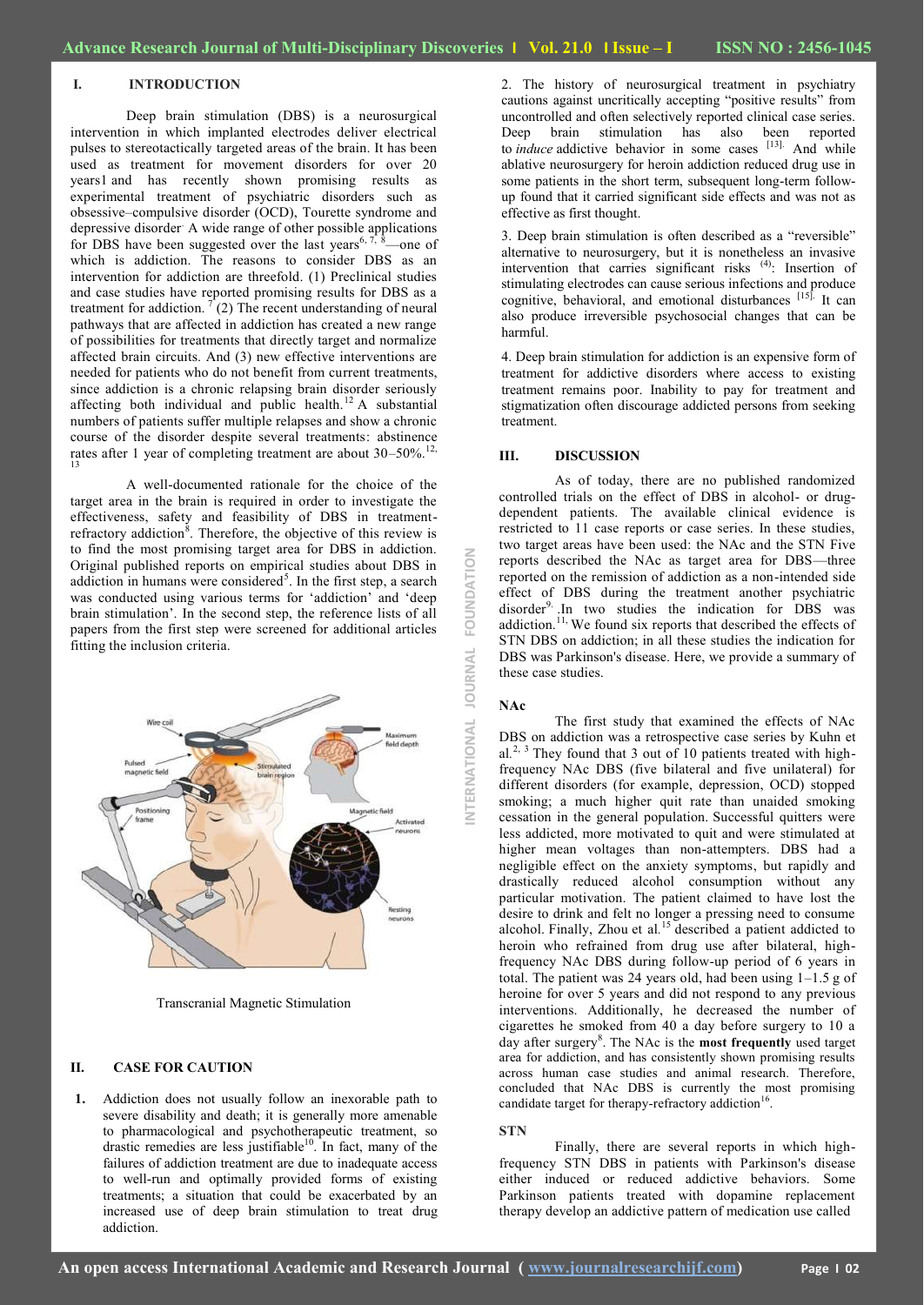## **I. INTRODUCTION**

Deep brain stimulation (DBS) is a neurosurgical intervention in which implanted electrodes deliver electrical pulses to stereotactically targeted areas of the brain. It has been used as treatment for movement disorders for over 20 year[s1](https://www.nature.com/articles/mp2011114#ref1) and has recently shown promising results as experimental treatment of psychiatric disorders such as obsessive–compulsive disorder (OCD), Tourette syndrome and depressive disorder. A wide range of other possible applications for DBS have been suggested over the last years<sup>6, 7,  $\dot{\delta}$ </sup>—one of which is addiction. The reasons to consider DBS as an intervention for addiction are threefold. (1) Preclinical studies and case studies have reported promising results for DBS as a treatment for addiction.  $\int$  (2) The recent understanding of neural pathways that are affected in addiction has created a new range of possibilities for treatments that directly target and normalize affected brain circuits. And (3) new effective interventions are needed for patients who do not benefit from current treatments, since addiction is a chronic relapsing brain disorder seriously affecting both individual and public health.<sup>12</sup> A substantial numbers of patients suffer multiple relapses and show a chronic course of the disorder despite several treatments: abstinence rates after 1 year of completing treatment are about  $30-50\%$ .<sup>12,</sup> 13

A well-documented rationale for the choice of the target area in the brain is required in order to investigate the effectiveness, safety and feasibility of DBS in treatmentrefractory addiction<sup>8</sup>. Therefore, the objective of this review is to find the most promising target area for DBS in addiction. Original published reports on empirical studies about DBS in addiction in humans were considered<sup>5</sup>. In the first step, a search was conducted using various terms for 'addiction' and 'deep brain stimulation'. In the second step, the reference lists of all papers from the first step were screened for additional articles fitting the inclusion criteria.



Transcranial Magnetic Stimulation

## **II. CASE FOR CAUTION**

**1.** Addiction does not usually follow an inexorable path to severe disability and death; it is generally more amenable to pharmacological and psychotherapeutic treatment, so drastic remedies are less justifiable<sup>10</sup>. In fact, many of the failures of addiction treatment are due to inadequate access to well-run and optimally provided forms of existing treatments; a situation that could be exacerbated by an increased use of deep brain stimulation to treat drug addiction.

2. The history of neurosurgical treatment in psychiatry cautions against uncritically accepting "positive results" from uncontrolled and often selectively reported clinical case series. brain stimulation has also been reported to *induce* addictive behavior in some cases <sup>[13]</sup>. And while ablative neurosurgery for heroin addiction reduced drug use in some patients in the short term, subsequent long-term followup found that it carried significant side effects and was not as effective as first thought.

3. Deep brain stimulation is often described as a "reversible" alternative to neurosurgery, but it is nonetheless an invasive intervention that carries significant risks (4): Insertion of stimulating electrodes can cause serious infections and produce cognitive, behavioral, and emotional disturbances [15]. It can also produce irreversible psychosocial changes that can be harmful.

4. Deep brain stimulation for addiction is an expensive form of treatment for addictive disorders where access to existing treatment remains poor. Inability to pay for treatment and stigmatization often discourage addicted persons from seeking treatment.

#### **III. DISCUSSION**

As of today, there are no published randomized controlled trials on the effect of DBS in alcohol- or drugdependent patients. The available clinical evidence is restricted to 11 case reports or case series. In these studies, two target areas have been used: the NAc and the STN Five reports described the NAc as target area for DBS—three reported on the remission of addiction as a non-intended side effect of DBS during the treatment another psychiatric disorder<sup>9</sup>. In two studies the indication for DBS was addiction.<sup>11,</sup> We found six reports that described the effects of STN DBS on addiction; in all these studies the indication for DBS was Parkinson's disease. Here, we provide a summary of these case studies.

**NAc**

**INTERNATIONAL JOURNAL FOUNDATION**

**JOURNAL** 

NTERNATIONAL

FOUNDATION

The first study that examined the effects of NAc DBS on addiction was a retrospective case series by Kuhn et al.<sup>2, 3</sup> They found that 3 out of 10 patients treated with highfrequency NAc DBS (five bilateral and five unilateral) for different disorders (for example, depression, OCD) stopped smoking; a much higher quit rate than unaided smoking cessation in the general population. Successful quitters were less addicted, more motivated to quit and were stimulated at higher mean voltages than non-attempters. DBS had a negligible effect on the anxiety symptoms, but rapidly and drastically reduced alcohol consumption without any particular motivation. The patient claimed to have lost the desire to drink and felt no longer a pressing need to consume alcohol. Finally, Zhou et al*.* <sup>15</sup> described a patient addicted to heroin who refrained from drug use after bilateral, highfrequency NAc DBS during follow-up period of 6 years in total. The patient was 24 years old, had been using 1–1.5 g of heroine for over 5 years and did not respond to any previous interventions. Additionally, he decreased the number of cigarettes he smoked from 40 a day before surgery to 10 a day after surgery<sup>8</sup>. The NAc is the **most frequently** used target area for addiction, and has consistently shown promising results across human case studies and animal research. Therefore, concluded that NAc DBS is currently the most promising candidate target for therapy-refractory addiction<sup>16</sup>.

#### **STN**

Finally, there are several reports in which highfrequency STN DBS in patients with Parkinson's disease either induced or reduced addictive behaviors. Some Parkinson patients treated with dopamine replacement therapy develop an addictive pattern of medication use called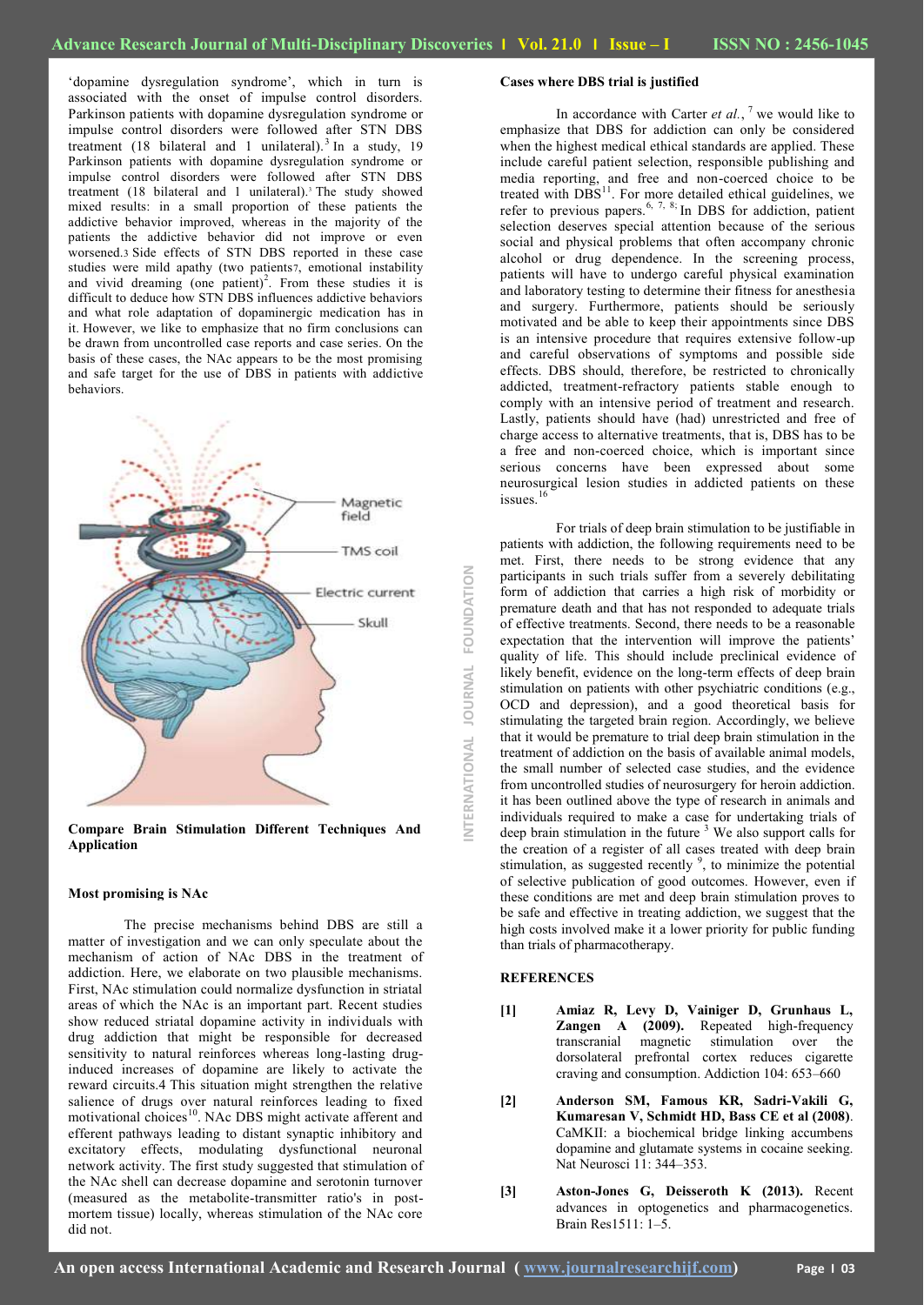‗dopamine dysregulation syndrome', which in turn is associated with the onset of impulse control disorders. Parkinson patients with dopamine dysregulation syndrome or impulse control disorders were followed after STN DBS treatment (18 bilateral and 1 unilateral).<sup>3</sup> In a study, 19 Parkinson patients with dopamine dysregulation syndrome or impulse control disorders were followed after STN DBS treatment (18 bilateral and 1 unilateral).<sup>3</sup> The study showed mixed results: in a small proportion of these patients the addictive behavior improved, whereas in the majority of the patients the addictive behavior did not improve or even worsened.3 Side effects of STN DBS reported in these case studies were mild apathy (two patients7, emotional instability and vivid dreaming (one patient)<sup>2</sup>. From these studies it is difficult to deduce how STN DBS influences addictive behaviors and what role adaptation of dopaminergic medication has in it. However, we like to emphasize that no firm conclusions can be drawn from uncontrolled case reports and case series. On the basis of these cases, the NAc appears to be the most promising and safe target for the use of DBS in patients with addictive behaviors.



**Compare Brain Stimulation Different Techniques And Application**

#### **Most promising is NAc**

The precise mechanisms behind DBS are still a matter of investigation and we can only speculate about the mechanism of action of NAc DBS in the treatment of addiction. Here, we elaborate on two plausible mechanisms. First, NAc stimulation could normalize dysfunction in striatal areas of which the NAc is an important part. Recent studies show reduced striatal dopamine activity in individuals with drug addiction that might be responsible for decreased sensitivity to natural reinforces whereas long-lasting druginduced increases of dopamine are likely to activate the reward circuits.4 This situation might strengthen the relative salience of drugs over natural reinforces leading to fixed motivational choices<sup>10</sup>. NAc DBS might activate afferent and efferent pathways leading to distant synaptic inhibitory and excitatory effects, modulating dysfunctional neuronal network activity. The first study suggested that stimulation of the NAc shell can decrease dopamine and serotonin turnover (measured as the metabolite-transmitter ratio's in postmortem tissue) locally, whereas stimulation of the NAc core did not.

## **Cases where DBS trial is justified**

In accordance with Carter *et al.*, <sup>7</sup> we would like to emphasize that DBS for addiction can only be considered when the highest medical ethical standards are applied. These include careful patient selection, responsible publishing and media reporting, and free and non-coerced choice to be treated with  $DBS<sup>11</sup>$ . For more detailed ethical guidelines, we refer to previous papers.<sup>6, 7, 8;</sup> In DBS for addiction, patient selection deserves special attention because of the serious social and physical problems that often accompany chronic alcohol or drug dependence. In the screening process, patients will have to undergo careful physical examination and laboratory testing to determine their fitness for anesthesia and surgery. Furthermore, patients should be seriously motivated and be able to keep their appointments since DBS is an intensive procedure that requires extensive follow-up and careful observations of symptoms and possible side effects. DBS should, therefore, be restricted to chronically addicted, treatment-refractory patients stable enough to comply with an intensive period of treatment and research. Lastly, patients should have (had) unrestricted and free of charge access to alternative treatments, that is, DBS has to be a free and non-coerced choice, which is important since serious concerns have been expressed about some neurosurgical lesion studies in addicted patients on these issues. $16$ 

For trials of deep brain stimulation to be justifiable in patients with addiction, the following requirements need to be met. First, there needs to be strong evidence that any participants in such trials suffer from a severely debilitating form of addiction that carries a high risk of morbidity or premature death and that has not responded to adequate trials of effective treatments. Second, there needs to be a reasonable expectation that the intervention will improve the patients' quality of life. This should include preclinical evidence of likely benefit, evidence on the long-term effects of deep brain stimulation on patients with other psychiatric conditions (e.g., OCD and depression), and a good theoretical basis for stimulating the targeted brain region. Accordingly, we believe that it would be premature to trial deep brain stimulation in the treatment of addiction on the basis of available animal models, the small number of selected case studies, and the evidence from uncontrolled studies of neurosurgery for heroin addiction. it has been outlined above the type of research in animals and individuals required to make a case for undertaking trials of deep brain stimulation in the future  $3$  We also support calls for the creation of a register of all cases treated with deep brain stimulation, as suggested recently  $9$ , to minimize the potential of selective publication of good outcomes. However, even if these conditions are met and deep brain stimulation proves to be safe and effective in treating addiction, we suggest that the high costs involved make it a lower priority for public funding than trials of pharmacotherapy.

#### **REFERENCES**

**INTERNATIONAL JOURNAL FOUNDATION**

JOURNAL

ERNATIONAL

FOUNDATION

- **[1] Amiaz R, Levy D, Vainiger D, Grunhaus L, Zangen A (2009).** Repeated high-frequency transcranial magnetic stimulation over the dorsolateral prefrontal cortex reduces cigarette craving and consumption. Addiction 104: 653–660
- **[2] Anderson SM, Famous KR, Sadri-Vakili G, Kumaresan V, Schmidt HD, Bass CE et al (2008)**. CaMKII: a biochemical bridge linking accumbens dopamine and glutamate systems in cocaine seeking. Nat Neurosci 11: 344–353.
- **[3] Aston-Jones G, Deisseroth K (2013).** Recent advances in optogenetics and pharmacogenetics. Brain Res1511: 1–5.